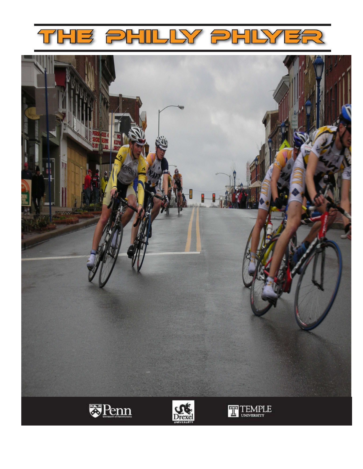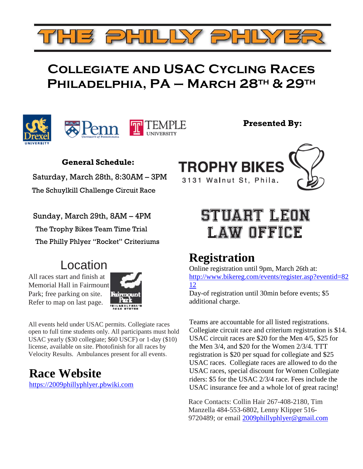## Collegiate and USAC Cycling Races PHILADELPHIA, PA - MARCH 28TH & 29TH





Presented By:

### General Schedule:

 Saturday, March 28th, 8:30AM – 3PM The Schuylkill Challenge Circuit Race



 Sunday, March 29th, 8AM – 4PM The Trophy Bikes Team Time Trial The Philly Phlyer "Rocket" Criteriums

## Location

All races start and finish at Memorial Hall in Fairmount Park; free parking on site. Refer to map on last page.



All events held under USAC permits. Collegiate races open to full time students only. All participants must hold USAC yearly (\$30 collegiate; \$60 USCF) or 1-day (\$10) license, available on site. Photofinish for all races by Velocity Results. Ambulances present for all events.

## **Race Website**

https://2009phillyphlyer.pbwiki.com

# **STUART LEON** LAW OFFICE

## **Registration**

Online registration until 9pm, March 26th at: http://www.bikereg.com/events/register.asp?eventid=82 12

Day-of registration until 30min before events; \$5 additional charge.

Teams are accountable for all listed registrations. Collegiate circuit race and criterium registration is \$14. USAC circuit races are \$20 for the Men 4/5, \$25 for the Men 3/4, and \$20 for the Women 2/3/4. TTT registration is \$20 per squad for collegiate and \$25 USAC races. Collegiate races are allowed to do the USAC races, special discount for Women Collegiate riders: \$5 for the USAC 2/3/4 race. Fees include the USAC insurance fee and a whole lot of great racing!

Race Contacts: Collin Hair 267-408-2180, Tim Manzella 484-553-6802, Lenny Klipper 516- 9720489; or email 2009phillyphlyer@gmail.com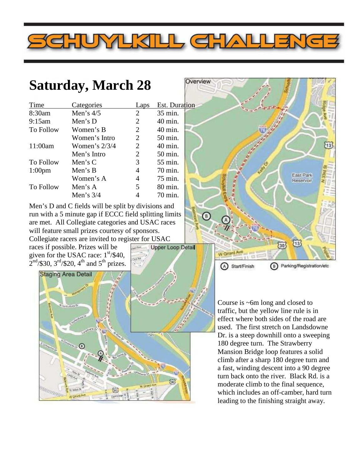## **Saturday, March 28**

| Time             | Categories      | Laps | <b>Est.</b> Duration |  |
|------------------|-----------------|------|----------------------|--|
| 8:30am           | Men's $4/5$     | 2    | 35 min.              |  |
| 9:15am           | Men's $D$       | 2    | 40 min.              |  |
| To Follow        | Women's B       | 2    | 40 min.              |  |
|                  | Women's Intro   | 2    | 50 min.              |  |
| 11:00am          | Women's $2/3/4$ | 2    | 40 min.              |  |
|                  | Men's Intro     | 2    | 50 min.              |  |
| <b>To Follow</b> | Men's $C$       | 3    | 55 min.              |  |
| $1:00$ pm        | Men's $B$       | 4    | 70 min.              |  |
|                  | Women's A       | 4    | 75 min.              |  |
| To Follow        | Men's $A$       | 5    | 80 min.              |  |
|                  | Men's $3/4$     |      | 70 min.              |  |

Men's D and C fields will be split by divisions and run with a 5 minute gap if ECCC field splitting limits are met. All Collegiate categories and USAC races will feature small prizes courtesy of sponsors.

Collegiate racers are invited to register for USAC races if possible. Prizes will be

given for the USAC race:  $1<sup>st</sup>/$40$ ,  $2<sup>nd</sup>/\$30$ ,  $3<sup>rd</sup>/\$20$ ,  $4<sup>th</sup>$  and  $5<sup>th</sup>$  prizes.





Course is ~6m long and closed to traffic, but the yellow line rule is in effect where both sides of the road are used. The first stretch on Landsdowne Dr. is a steep downhill onto a sweeping 180 degree turn. The Strawberry Mansion Bridge loop features a solid climb after a sharp 180 degree turn and a fast, winding descent into a 90 degree turn back onto the river. Black Rd. is a moderate climb to the final sequence, which includes an off-camber, hard turn leading to the finishing straight away.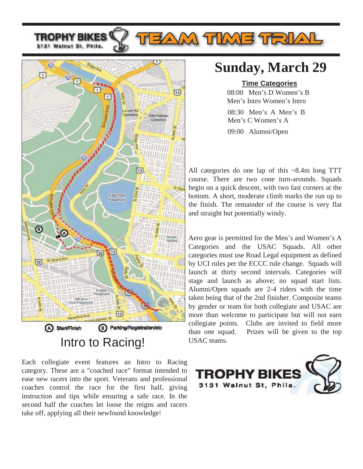TROPHY BIKES 3131 Walnut St, Phila.



Each collegiate event features an Intro to Racing category. These are a "coached race" format intended to ease new racers into the sport. Veterans and professional coaches control the race for the first half, giving instruction and tips while ensuring a safe race. In the second half the coaches let loose the reigns and racers take off, applying all their newfound knowledge!

## **Sunday, March 29**

**AM TIME TRIAL** 

### **Time Categories**

08:00 Men's D Women's B Men's Intro Women's Intro

09:00 Alumni/Open 08:30 Men's A Men's B Men's C Women's A

All categories do one lap of this ~8.4m long TTT course. There are two cone turn-arounds. Squads begin on a quick descent, with two fast corners at the bottom. A short, moderate climb marks the run up to the finish. The remainder of the course is very flat and straight but potentially windy.

Aero gear is permitted for the Men's and Women's A Categories and the USAC Squads. All other categories must use Road Legal equipment as defined by UCI rules per the ECCC rule change. Squads will launch at thirty second intervals. Categories will stage and launch as above; no squad start lists. Alumni/Open squads are 2-4 riders with the time taken being that of the 2nd finisher. Composite teams by gender or team for both collegiate and USAC are more than welcome to participate but will not earn collegiate points. Clubs are invited to field more than one squad. Prizes will be given to the top USAC teams.

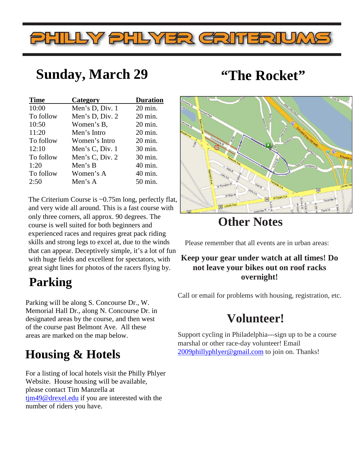# PHILLY PHLYER CRITERIUA

## **Sunday, March 29 "The Rocket"**

| <b>Time</b> | Category        | <b>Duration</b>    |
|-------------|-----------------|--------------------|
| 10:00       | Men's D, Div. 1 | $20 \text{ min.}$  |
| To follow   | Men's D, Div. 2 | $20 \text{ min.}$  |
| 10:50       | Women's B,      | $20 \text{ min.}$  |
| 11:20       | Men's Intro     | $20 \text{ min.}$  |
| To follow   | Women's Intro   | 20 min.            |
| 12:10       | Men's C, Div. 1 | 30 min.            |
| To follow   | Men's C, Div. 2 | 30 min.            |
| 1:20        | Men's B         | 40 min.            |
| To follow   | Women's A       | 40 min.            |
| 2:50        | Men's A         | $50 \text{ min}$ . |

The Criterium Course is ~0.75m long, perfectly flat, and very wide all around. This is a fast course with only three corners, all approx. 90 degrees. The course is well suited for both beginners and experienced races and requires great pack riding skills and strong legs to excel at, due to the winds that can appear. Deceptively simple, it's a lot of fun with huge fields and excellent for spectators, with great sight lines for photos of the racers flying by.

## **Parking**

Parking will be along S. Concourse Dr., W. Memorial Hall Dr., along N. Concourse Dr. in designated areas by the course, and then west of the course past Belmont Ave. All these areas are marked on the map below.

## **Housing & Hotels**

For a listing of local hotels visit the Philly Phlyer Website. House housing will be available, please contact Tim Manzella at tim49@drexel.edu if you are interested with the number of riders you have.



## **Other Notes**

Please remember that all events are in urban areas:

### **Keep your gear under watch at all times! Do not leave your bikes out on roof racks overnight!**

Call or email for problems with housing, registration, etc.

## **Volunteer!**

Support cycling in Philadelphia---sign up to be a course marshal or other race-day volunteer! Email 2009phillyphlyer@gmail.com to join on. Thanks!